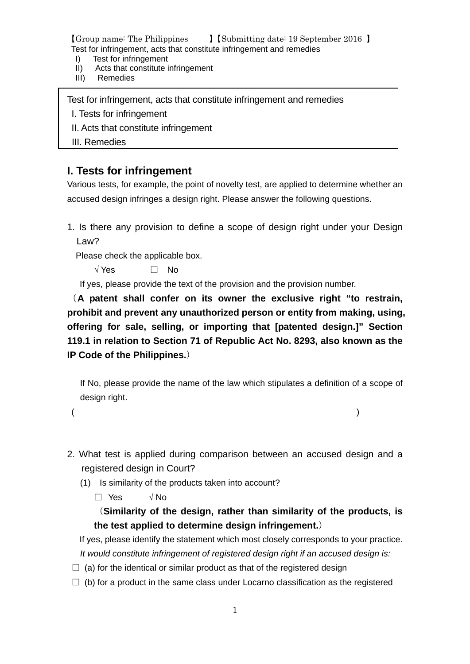- I) Test for infringement
- II) Acts that constitute infringement
- III) Remedies

Test for infringement, acts that constitute infringement and remedies

I. Tests for infringement

- II. Acts that constitute infringement
- III. Remedies

## **I. Tests for infringement**

Various tests, for example, the point of novelty test, are applied to determine whether an accused design infringes a design right. Please answer the following questions.

1. Is there any provision to define a scope of design right under your Design Law?

Please check the applicable box.

 $\sqrt{Y}$ es  $\Box$  No

If yes, please provide the text of the provision and the provision number.

(**A patent shall confer on its owner the exclusive right "to restrain, prohibit and prevent any unauthorized person or entity from making, using, offering for sale, selling, or importing that [patented design.]" Section 119.1 in relation to Section 71 of Republic Act No. 8293, also known as the IP Code of the Philippines.**)

If No, please provide the name of the law which stipulates a definition of a scope of design right.

 $($ 

- 2. What test is applied during comparison between an accused design and a registered design in Court?
	- (1) Is similarity of the products taken into account?

□ Yes √ No

(**Similarity of the design, rather than similarity of the products, is the test applied to determine design infringement.**)

If yes, please identify the statement which most closely corresponds to your practice. *It would constitute infringement of registered design right if an accused design is:*

- $\Box$  (a) for the identical or similar product as that of the registered design
- $\Box$  (b) for a product in the same class under Locarno classification as the registered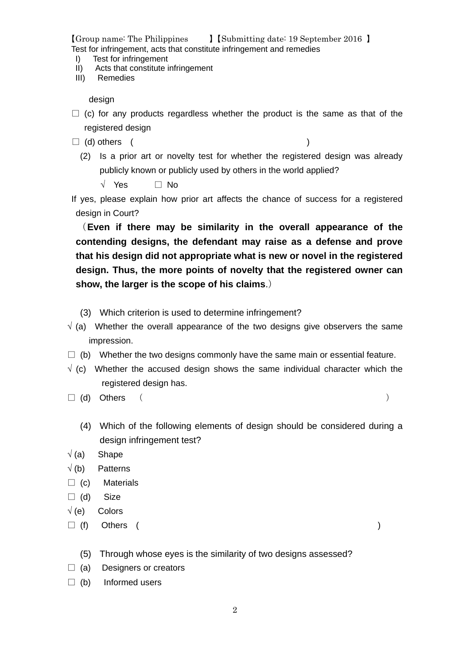- I) Test for infringement
- II) Acts that constitute infringement
- III) Remedies

design

- $\Box$  (c) for any products regardless whether the product is the same as that of the registered design
- $\Box$  (d) others (

(2) Is a prior art or novelty test for whether the registered design was already publicly known or publicly used by others in the world applied?

√ Yes □ No

If yes, please explain how prior art affects the chance of success for a registered design in Court?

(**Even if there may be similarity in the overall appearance of the contending designs, the defendant may raise as a defense and prove that his design did not appropriate what is new or novel in the registered design. Thus, the more points of novelty that the registered owner can show, the larger is the scope of his claims**.)

- (3) Which criterion is used to determine infringement?
- $\sqrt{a}$  (a) Whether the overall appearance of the two designs give observers the same impression.
- $\Box$  (b) Whether the two designs commonly have the same main or essential feature.
- $\sqrt{(c)}$  Whether the accused design shows the same individual character which the registered design has.
- $\Box$  (d) Others (
	- (4) Which of the following elements of design should be considered during a design infringement test?
- $\sqrt{a}$  Shape
- √ (b) Patterns
- $\Box$  (c) Materials
- $\Box$  (d) Size
- $\sqrt(e)}$  Colors
- $\Box$  (f) Others ( )
	- (5) Through whose eyes is the similarity of two designs assessed?
- $\Box$  (a) Designers or creators
- $\Box$  (b) Informed users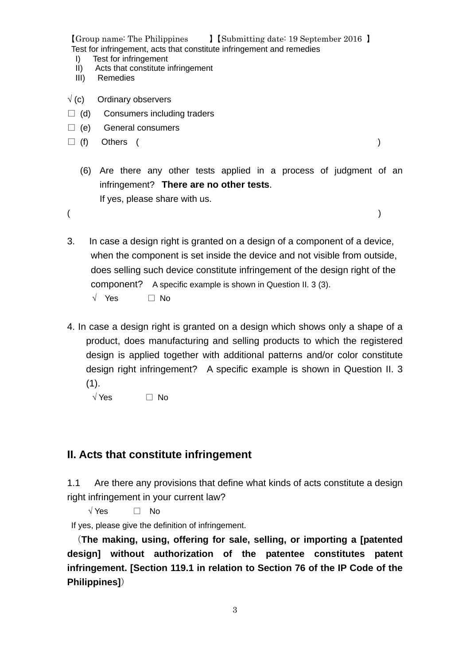- I) Test for infringement
- II) Acts that constitute infringement
- III) Remedies
- $\sqrt{}$  (c) Ordinary observers
- $\Box$  (d) Consumers including traders
- $\Box$  (e) General consumers
- $\Box$  (f) Others (

- (6) Are there any other tests applied in a process of judgment of an infringement? **There are no other tests**. If yes, please share with us.
- $($
- 3. In case a design right is granted on a design of a component of a device, when the component is set inside the device and not visible from outside, does selling such device constitute infringement of the design right of the component? A specific example is shown in Question II. 3 (3). √ Yes □ No
- 4. In case a design right is granted on a design which shows only a shape of a product, does manufacturing and selling products to which the registered design is applied together with additional patterns and/or color constitute design right infringement? A specific example is shown in Question II. 3  $(1).$ 
	- √ Yes □ No

## **II. Acts that constitute infringement**

1.1 Are there any provisions that define what kinds of acts constitute a design right infringement in your current law?

 $\sqrt{Y}$ es  $\Box$  No

If yes, please give the definition of infringement.

(**The making, using, offering for sale, selling, or importing a [patented design] without authorization of the patentee constitutes patent infringement. [Section 119.1 in relation to Section 76 of the IP Code of the Philippines]**)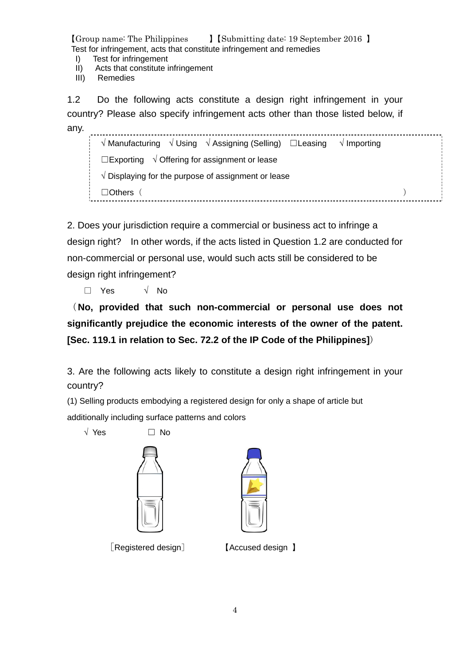- I) Test for infringement
- II) Acts that constitute infringement
- III) Remedies

1.2 Do the following acts constitute a design right infringement in your country? Please also specify infringement acts other than those listed below, if any. 

√ Manufacturing √ Using √ Assigning (Selling) ☐Leasing √ Importing ☐Exporting √ Offering for assignment or lease √ Displaying for the purpose of assignment or lease ☐Others( )

2. Does your jurisdiction require a commercial or business act to infringe a design right? In other words, if the acts listed in Question 1.2 are conducted for non-commercial or personal use, would such acts still be considered to be design right infringement?

□ Yes √ No

(**No, provided that such non-commercial or personal use does not significantly prejudice the economic interests of the owner of the patent. [Sec. 119.1 in relation to Sec. 72.2 of the IP Code of the Philippines]**)

3. Are the following acts likely to constitute a design right infringement in your country?

(1) Selling products embodying a registered design for only a shape of article but

additionally including surface patterns and colors

 $\sqrt{Y}$ es  $\Box$  No





[Registered design] 【Accused design 】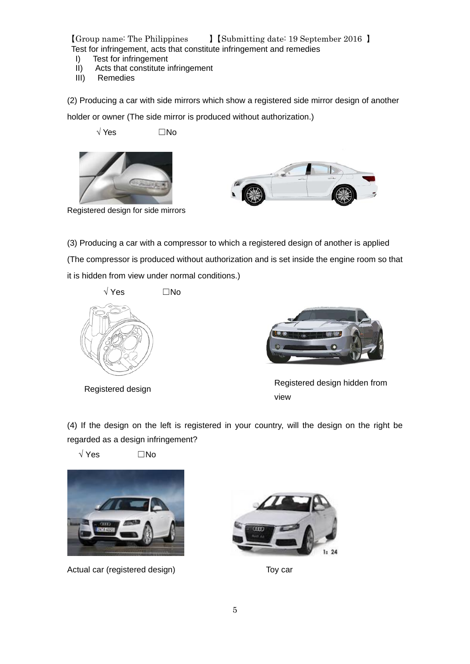- I) Test for infringement
- II) Acts that constitute infringement
- III) Remedies

(2) Producing a car with side mirrors which show a registered side mirror design of another

holder or owner (The side mirror is produced without authorization.)

√ Yes ☐No





Registered design for side mirrors

(3) Producing a car with a compressor to which a registered design of another is applied (The compressor is produced without authorization and is set inside the engine room so that it is hidden from view under normal conditions.)





Registered design Registered design hidden from view

(4) If the design on the left is registered in your country, will the design on the right be regarded as a design infringement?

√ Yes ☐No



Actual car (registered design) Toy car

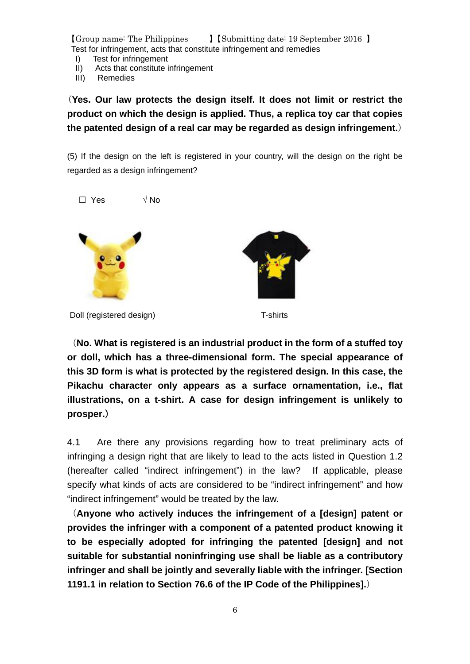- I) Test for infringement
- II) Acts that constitute infringement
- III) Remedies

(**Yes. Our law protects the design itself. It does not limit or restrict the product on which the design is applied. Thus, a replica toy car that copies the patented design of a real car may be regarded as design infringement.**)

(5) If the design on the left is registered in your country, will the design on the right be regarded as a design infringement?



(**No. What is registered is an industrial product in the form of a stuffed toy or doll, which has a three-dimensional form. The special appearance of this 3D form is what is protected by the registered design. In this case, the Pikachu character only appears as a surface ornamentation, i.e., flat illustrations, on a t-shirt. A case for design infringement is unlikely to prosper.**)

4.1 Are there any provisions regarding how to treat preliminary acts of infringing a design right that are likely to lead to the acts listed in Question 1.2 (hereafter called "indirect infringement") in the law? If applicable, please specify what kinds of acts are considered to be "indirect infringement" and how "indirect infringement" would be treated by the law.

(**Anyone who actively induces the infringement of a [design] patent or provides the infringer with a component of a patented product knowing it to be especially adopted for infringing the patented [design] and not suitable for substantial noninfringing use shall be liable as a contributory infringer and shall be jointly and severally liable with the infringer. [Section 1191.1 in relation to Section 76.6 of the IP Code of the Philippines].**)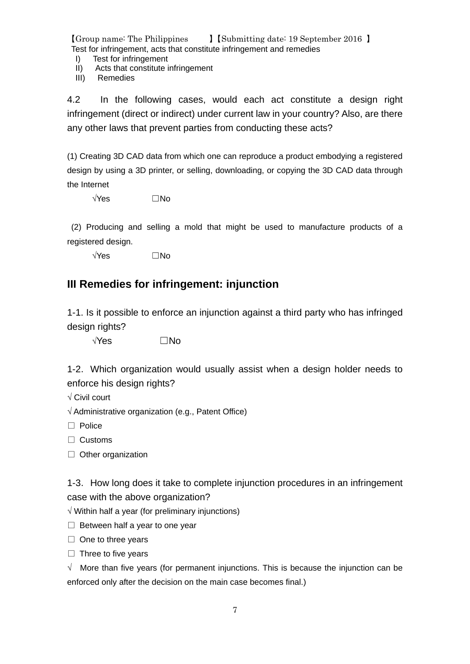- I) Test for infringement
- II) Acts that constitute infringement
- III) Remedies

4.2 In the following cases, would each act constitute a design right infringement (direct or indirect) under current law in your country? Also, are there any other laws that prevent parties from conducting these acts?

(1) Creating 3D CAD data from which one can reproduce a product embodying a registered design by using a 3D printer, or selling, downloading, or copying the 3D CAD data through the Internet

√Yes ☐No

(2) Producing and selling a mold that might be used to manufacture products of a registered design.

 $\sqrt{Y}$ es  $\Box$ No

## **III Remedies for infringement: injunction**

1-1. Is it possible to enforce an injunction against a third party who has infringed design rights?

√Yes ☐No

1-2.Which organization would usually assist when a design holder needs to enforce his design rights?

√ Civil court

√ Administrative organization (e.g., Patent Office)

□ Police

□ Customs

□ Other organization

1-3. How long does it take to complete injunction procedures in an infringement case with the above organization?

 $\sqrt{ }$  Within half a year (for preliminary injunctions)

 $\Box$  Between half a year to one year

□ One to three years

 $\Box$  Three to five years

√ More than five years (for permanent injunctions. This is because the injunction can be enforced only after the decision on the main case becomes final.)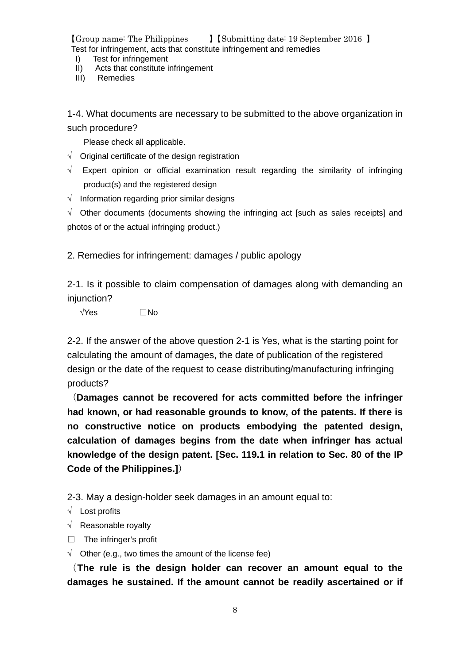- I) Test for infringement
- II) Acts that constitute infringement
- III) Remedies

1-4.What documents are necessary to be submitted to the above organization in such procedure?

Please check all applicable.

- $\sqrt{\phantom{a}}$  Original certificate of the design registration
- $\sqrt{ }$  Expert opinion or official examination result regarding the similarity of infringing product(s) and the registered design
- $\sqrt{\phantom{a}}$  Information regarding prior similar designs

 $\sqrt{ }$  Other documents (documents showing the infringing act [such as sales receipts] and photos of or the actual infringing product.)

2. Remedies for infringement: damages / public apology

2-1. Is it possible to claim compensation of damages along with demanding an injunction?

 $\sqrt{Y}$ es  $\Box$ No

2-2. If the answer of the above question 2-1 is Yes, what is the starting point for calculating the amount of damages, the date of publication of the registered design or the date of the request to cease distributing/manufacturing infringing products?

(**Damages cannot be recovered for acts committed before the infringer had known, or had reasonable grounds to know, of the patents. If there is no constructive notice on products embodying the patented design, calculation of damages begins from the date when infringer has actual knowledge of the design patent. [Sec. 119.1 in relation to Sec. 80 of the IP Code of the Philippines.]**)

2-3. May a design-holder seek damages in an amount equal to:

√ Lost profits

√ Reasonable royalty

- □ The infringer's profit
- $\sqrt{\phantom{a}}$  Other (e.g., two times the amount of the license fee)

(**The rule is the design holder can recover an amount equal to the damages he sustained. If the amount cannot be readily ascertained or if**